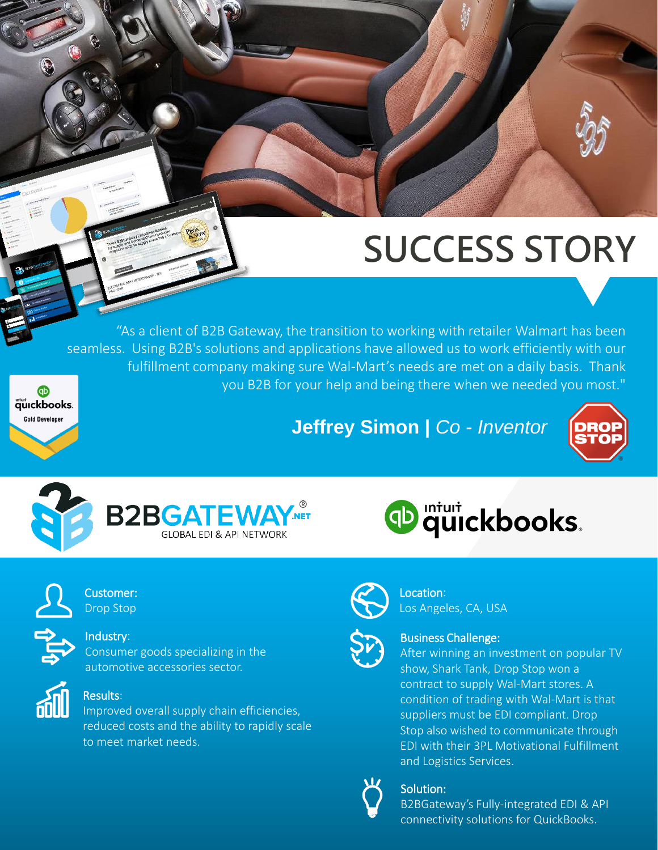## **SUCCESS STORY**

. fulfillment company making sure Wal-Mart's needs are met on a daily basis. Thank "As a client of B2B Gateway, the transition to working with retailer Walmart has been seamless. Using B2B's solutions and applications have allowed us to work efficiently with our you B2B for your help and being there when we needed you most."









auckbooks. **Gold Developer** 

### Industry:

Customer: Drop Stop

Consumer goods specializing in the automotive accessories sector.



### Results:

Improved overall supply chain efficiencies, reduced costs and the ability to rapidly scale to meet market needs.





#### Location: Los Angeles, CA, USA



#### Business Challenge:

After winning an investment on popular TV show, Shark Tank, Drop Stop won a contract to supply Wal-Mart stores. A condition of trading with Wal-Mart is that suppliers must be EDI compliant. Drop Stop also wished to communicate through EDI with their 3PL Motivational Fulfillment and Logistics Services.



### Solution:

B2BGateway's Fully-integrated EDI & API connectivity solutions for QuickBooks.